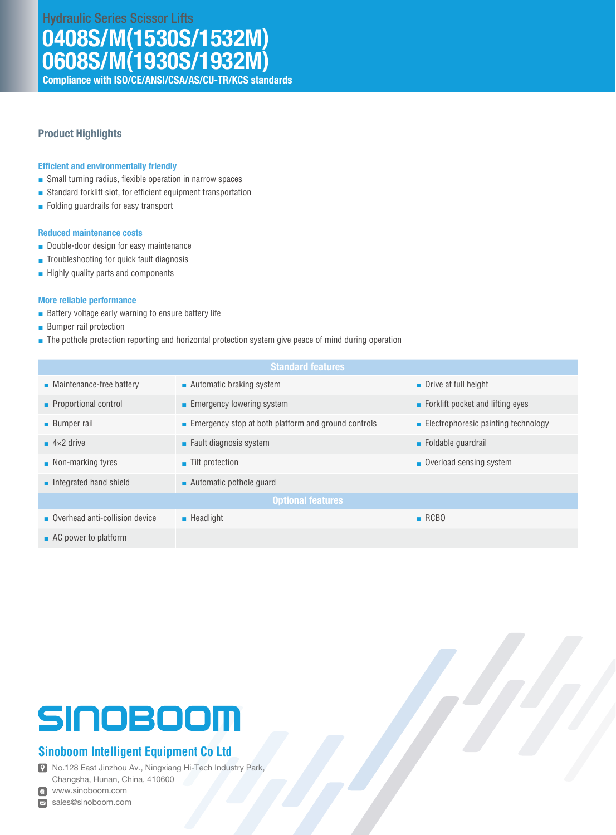Hydraulic Series Scissor Lifts

# 0408S/M(1530S/1532M) 0608S/M(1930S/1932M)

Compliance with ISO/CE/ANSI/CSA/AS/CU-TR/KCS standards

## Product Highlights

### Efficient and environmentally friendly

- Small turning radius, flexible operation in narrow spaces
- Standard forklift slot, for efficient equipment transportation
- Folding guardrails for easy transport

#### Reduced maintenance costs

- Double-door design for easy maintenance
- Troubleshooting for quick fault diagnosis
- Highly quality parts and components

### More reliable performance

- Battery voltage early warning to ensure battery life
- Bumper rail protection
- The pothole protection reporting and horizontal protection system give peace of mind during operation

| <b>Standard features</b>                |                                                     |                                     |  |  |  |
|-----------------------------------------|-----------------------------------------------------|-------------------------------------|--|--|--|
| $\blacksquare$ Maintenance-free battery | ■ Automatic braking system                          | $\blacksquare$ Drive at full height |  |  |  |
| • Proportional control                  | Emergency lowering system                           | Forklift pocket and lifting eyes    |  |  |  |
| <b>Bumper rail</b>                      | Emergency stop at both platform and ground controls | Electrophoresic painting technology |  |  |  |
| $4 \times 2$ drive                      | $\blacksquare$ Fault diagnosis system               | $\blacksquare$ Foldable quardrail   |  |  |  |
| $\blacksquare$ Non-marking tyres        | $\blacksquare$ Tilt protection                      | Overload sensing system             |  |  |  |
| Integrated hand shield                  | ■ Automatic pothole quard                           |                                     |  |  |  |
| <b>Optional features</b>                |                                                     |                                     |  |  |  |
| Overhead anti-collision device          | $\blacksquare$ Headlight                            | RCBO                                |  |  |  |
| $\blacksquare$ AC power to platform     |                                                     |                                     |  |  |  |

# SINOBOOM

# **Sinoboom Intelligent Equipment Co Ltd**

No.128 East Jinzhou Av., Ningxiang Hi-Tech Industry Park, Changsha, Hunan, China, 410600

www.sinoboom.com

sales@sinoboom.com